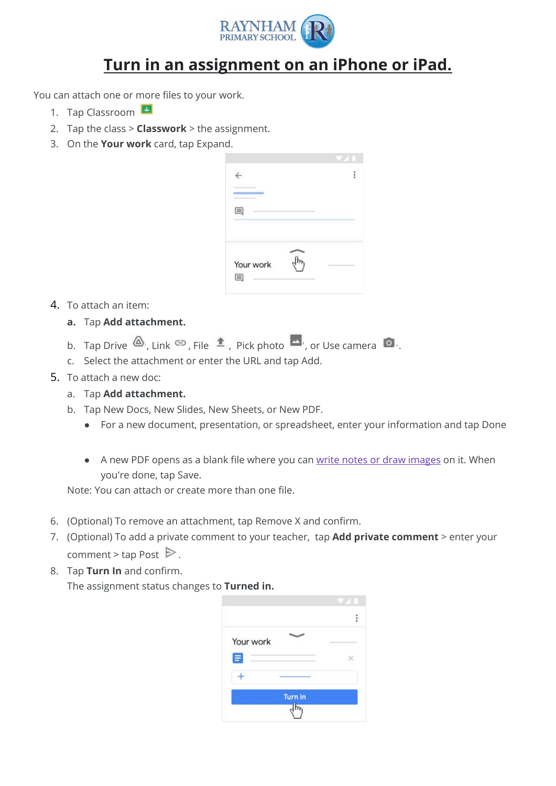

## **Turn in an assignment on an iPhone or iPad.**

You can attach one or more files to your work.

- 1. Tap Classroom
- 2. Tap the class > **Classwork** > the assignment.
- 3. On the **Your work** card, tap Expand.

| $\leftarrow$   |  |
|----------------|--|
|                |  |
| Your work<br>匡 |  |

- 4. To attach an item:
	- **a.** Tap **Add attachment.**
	- b. Tap Drive  $\bigotimes$ , Link  $\bigcirc$ , File  $\bigcirc$ , Pick photo  $\bigcirc$ , or Use camera  $\bigcirc$ .
	- c. Select the attachment or enter the URL and tap Add.
- 5. To attach a new doc:
	- a. Tap **Add attachment.**
	- b. Tap New Docs, New Slides, New Sheets, or New PDF.
		- For a new document, presentation, or spreadsheet, enter your information and tap Done
		- A new PDF opens as a blank file where you can [write notes or draw images](https://support.google.com/edu/classroom/answer/7080036) on it. When you're done, tap Save.

Note: You can attach or create more than one file.

- 6. (Optional) To remove an attachment, tap Remove X and confirm.
- 7. (Optional) To add a private comment to your teacher, tap **Add private comment** >enter your comment > tap Post  $\triangleright$ .
- 8. Tap **Turn In** and confirm.

The assignment status changes to **Turned in.**

| Your work |  |
|-----------|--|
|           |  |
|           |  |
|           |  |
|           |  |
| Turn in   |  |
|           |  |